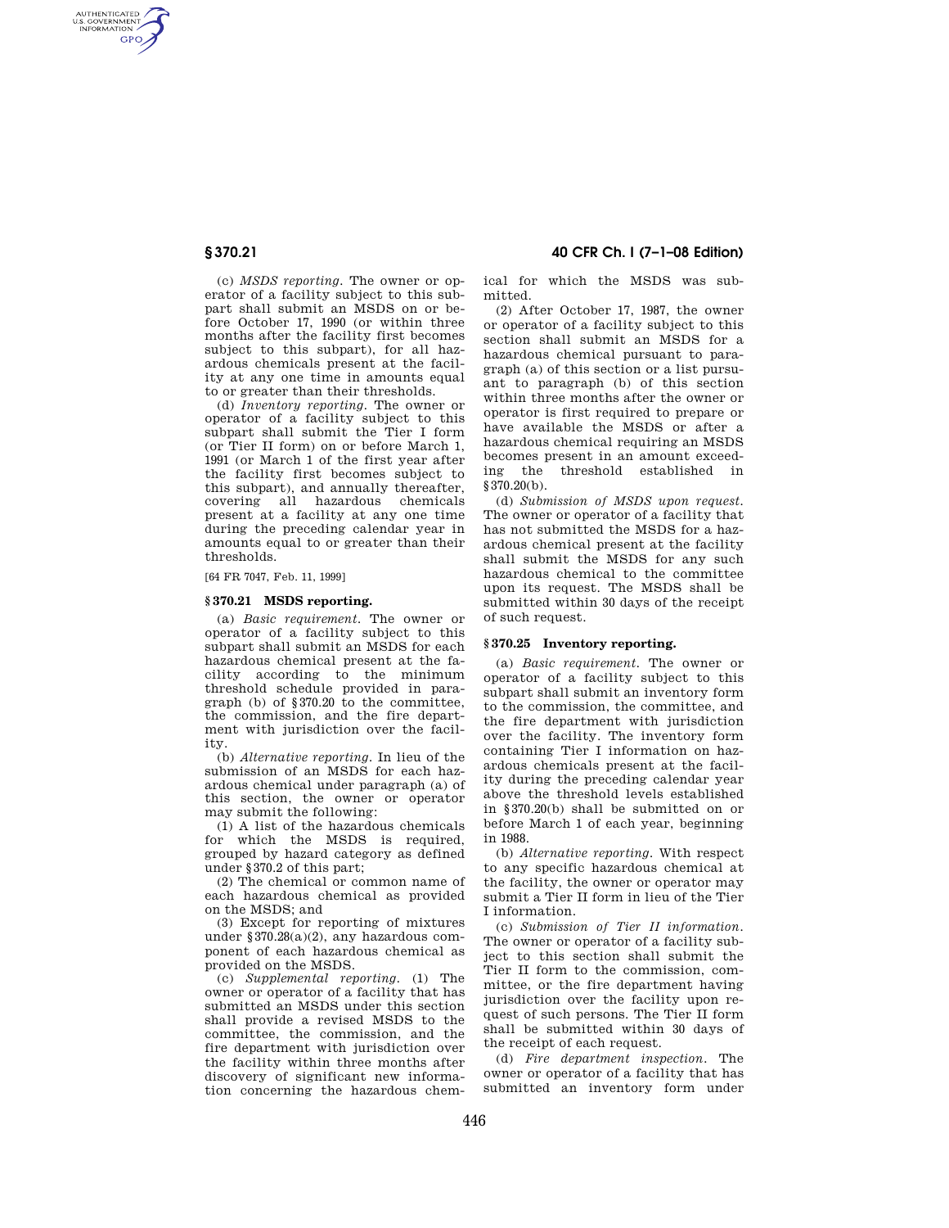AUTHENTICATED<br>U.S. GOVERNMENT<br>INFORMATION **GPO** 

> (c) *MSDS reporting.* The owner or operator of a facility subject to this subpart shall submit an MSDS on or before October 17, 1990 (or within three months after the facility first becomes subject to this subpart), for all hazardous chemicals present at the facility at any one time in amounts equal to or greater than their thresholds.

> (d) *Inventory reporting.* The owner or operator of a facility subject to this subpart shall submit the Tier I form (or Tier II form) on or before March 1, 1991 (or March 1 of the first year after the facility first becomes subject to this subpart), and annually thereafter, covering all hazardous chemicals present at a facility at any one time during the preceding calendar year in amounts equal to or greater than their thresholds.

[64 FR 7047, Feb. 11, 1999]

## **§ 370.21 MSDS reporting.**

(a) *Basic requirement.* The owner or operator of a facility subject to this subpart shall submit an MSDS for each hazardous chemical present at the facility according to the minimum threshold schedule provided in paragraph (b) of §370.20 to the committee, the commission, and the fire department with jurisdiction over the facility.

(b) *Alternative reporting.* In lieu of the submission of an MSDS for each hazardous chemical under paragraph (a) of this section, the owner or operator may submit the following:

(1) A list of the hazardous chemicals for which the MSDS is required. grouped by hazard category as defined under §370.2 of this part;

(2) The chemical or common name of each hazardous chemical as provided on the MSDS; and

(3) Except for reporting of mixtures under §370.28(a)(2), any hazardous component of each hazardous chemical as provided on the MSDS.

(c) *Supplemental reporting.* (1) The owner or operator of a facility that has submitted an MSDS under this section shall provide a revised MSDS to the committee, the commission, and the fire department with jurisdiction over the facility within three months after discovery of significant new information concerning the hazardous chem-

**§ 370.21 40 CFR Ch. I (7–1–08 Edition)** 

ical for which the MSDS was submitted.

(2) After October 17, 1987, the owner or operator of a facility subject to this section shall submit an MSDS for a hazardous chemical pursuant to paragraph (a) of this section or a list pursuant to paragraph (b) of this section within three months after the owner or operator is first required to prepare or have available the MSDS or after a hazardous chemical requiring an MSDS becomes present in an amount exceeding the threshold established in §370.20(b).

(d) *Submission of MSDS upon request.*  The owner or operator of a facility that has not submitted the MSDS for a hazardous chemical present at the facility shall submit the MSDS for any such hazardous chemical to the committee upon its request. The MSDS shall be submitted within 30 days of the receipt of such request.

#### **§ 370.25 Inventory reporting.**

(a) *Basic requirement.* The owner or operator of a facility subject to this subpart shall submit an inventory form to the commission, the committee, and the fire department with jurisdiction over the facility. The inventory form containing Tier I information on hazardous chemicals present at the facility during the preceding calendar year above the threshold levels established in §370.20(b) shall be submitted on or before March 1 of each year, beginning in 1988.

(b) *Alternative reporting.* With respect to any specific hazardous chemical at the facility, the owner or operator may submit a Tier II form in lieu of the Tier I information.

(c) *Submission of Tier II information.*  The owner or operator of a facility subject to this section shall submit the Tier II form to the commission, committee, or the fire department having jurisdiction over the facility upon request of such persons. The Tier II form shall be submitted within 30 days of the receipt of each request.

(d) *Fire department inspection.* The owner or operator of a facility that has submitted an inventory form under